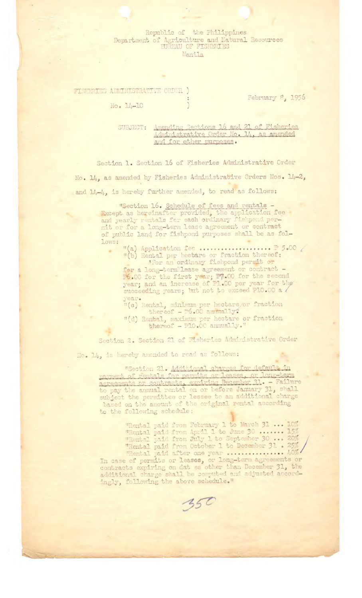## Republic of the Philippines Department of Agriculture and Natural Resources Manila

## FISHERIES ADMINISTRATIVE ORDER )

 $No. 14-10$ 

February 8, 1956

Amending Sections 16 and 21 of Fisheries SUBJECT: Administrative Order No. 14, as amended and for other purposes.

Section 1. Section 16 of Fisheries Administrative Order No. 14, as amended by Fisheries Administrative Orders Nos. 14-2, and 14-4, is hereby further amended, to read as follows:

> "Section 16. Schedule of fees and rentals -<br>Except as hereinafter provided, the application fee<br>and yearly rentals for each ordinary fishpond per-<br>mit or for a long-term lease agreement or contract of public land for fishpond purposes shall be as fol-Lows:

for a long-termlease agreement or contract -P6.00 for the first year; P7.00 for the second<br>year; and an increase of P1.00 per year for the<br>succeeding years; but not to exceed P10.00 a

- year.<br>"(c) Rental, minimum per hectare/or fraction<br>thereof  $\frac{1}{100}$ .00 annually.
- "(d) Rental, maximum per hectare or fraction<br>thereof P10.00 annually."

Section 2. Section 21 of Fisheries Administrative Order

No. 14, is hereby amended to read as follows:

"Section 21. Additional charges for default in<br>payment of rentals for permits or leases, or long-term<br>agreements or contracts, expiring December 31. - Failure<br>to pay the annual rental on or before January 31, shall<br>subject to the following schedule:

"Rental paid from February 1 to March 31 ... 10%"<br>"Rental paid from April 1 to June 30 ...... 15%"<br>"Rental paid from July 1 to September 30 ... 20%"<br>"Rental paid from October 1 to December 31 . 25%"<br>"Rental paid after one

ingly, following the above schedule."

350